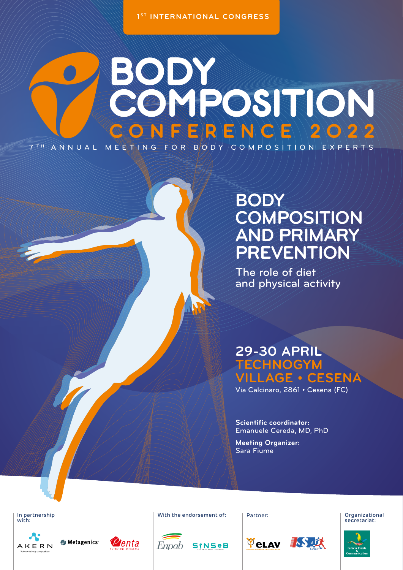1<sup>ST</sup> INTERNATIONAL CONGRESS

# BODYSSITION  $R$  E N C E 12 0 2 2 7 T H ANNUAL MEETING FOR BODY COMPOSITION EXPERTS

## **BODY COMPOSITION AND PRIMARY PREVENTION**

The role of diet and physical activity

## **29-30 APRIL TECHNOGYM VILLAGE • CESENA**

Via Calcinaro, 2861 • Cesena (FC)

**Scientific coordinator:**  Emanuele Cereda, MD, PhD

**Velay IS IX** 

**Meeting Organizer:**  Sara Fiume

In partnership Partner: With the endorsement of:In partnership<br>with:















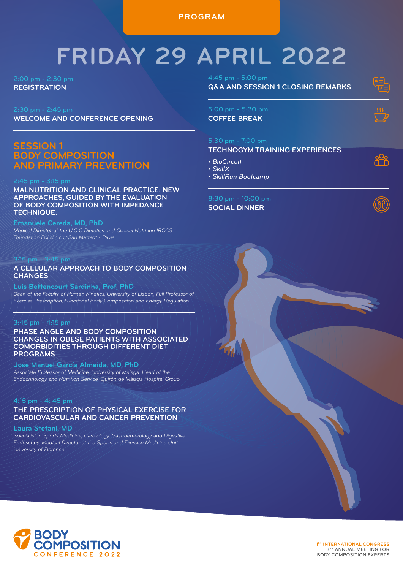**PROGRAM**

# **FRIDAY 29 APRIL 2022**

2:00 pm - 2:30 pm **REGISTRATION**

**WELCOME AND CONFERENCE OPENING**

### **SESSION 1 BODY COMPOSITION AND PRIMARY PREVENTION**

**MALNUTRITION AND CLINICAL PRACTICE: NEW APPROACHES, GUIDED BY THE EVALUATION OF BODY COMPOSITION WITH IMPEDANCE TECHNIQUE.**

**Emanuele Cereda, MD, PhD** *Medical Director of the U.O.C Dietetics and Clinical Nutrition IRCCS Foundation Policlinico "San Matteo" • Pavia*

### 3:15 pm - 3:45 pm

### **A CELLULAR APPROACH TO BODY COMPOSITION CHANGES**

**Luís Bettencourt Sardinha, Prof, PhD** *Dean of the Faculty of Human Kinetics, University of Lisbon, Full Professor of* 

*Exercise Prescription, Functional Body Composition and Energy Regulation*

### 3:45 pm - 4:15 pm

### **PHASE ANGLE AND BODY COMPOSITION CHANGES IN OBESE PATIENTS WITH ASSOCIATED COMORBIDITIES THROUGH DIFFERENT DIET PROGRAMS**

**Jose Manuel García Almeida, MD, PhD** *Associate Professor of Medicine, University of Malaga. Head of the Endocrinology and Nutrition Service, Quirón de Málaga Hospital Group*

### 4:15 pm - 4: 45 pm

### **THE PRESCRIPTION OF PHYSICAL EXERCISE FOR CARDIOVASCULAR AND CANCER PREVENTION**

### **Laura Stefani, MD**

*Specialist in Sports Medicine, Cardiology, Gastroenterology and Digestive Endoscopy. Medical Director at the Sports and Exercise Medicine Unit University of Florence*

**Q&A AND SESSION 1 CLOSING REMARKS**

### 5:00 pm - 5:30 pm **COFFEE BREAK**

႙ၯၜ

### 5:30 pm - 7:00 pm

### **TECHNOGYM TRAINING EXPERIENCES**

- *BioCircuit*
- *SkillX*
- *SkillRun Bootcamp*

### 8:30 pm - 10:00 pm

**SOCIAL DINNER**





 **1ST INTERNATIONAL CONGRESS** 7TH ANNUAL MEETING FOR BODY COMPOSITION EXPERTS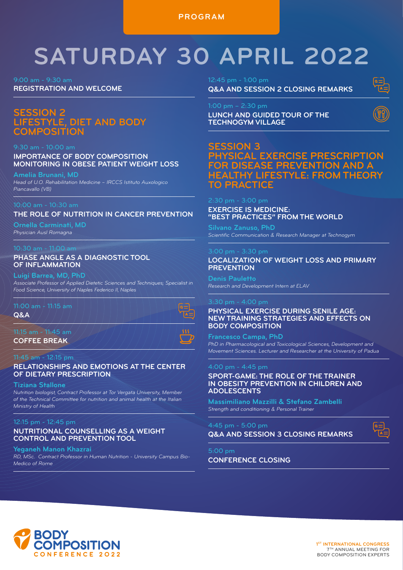**PROGRAM**

# **SATURDAY 30 APRIL 2022**

9:00 am - 9:30 am **REGISTRATION AND WELCOME**

### **SION 2 LIFESTYLE, DIET AND BODY COMPOSITION**

### 9:30 am - 10:00 am

### **IMPORTANCE OF BODY COMPOSITION MONITORING IN OBESE PATIENT WEIGHT LOSS**

**Amelia Brunani, MD** *Head of U.O. Rehabilitation Medicine – IRCCS Istituto Auxologico Piancavallo (VB)*

### 10:00 am - 10:30 am

### **THE ROLE OF NUTRITION IN CANCER PREVENTION**

**Ornella Carminati, MD** *Physician Ausl Romagna*

### **PHASE ANGLE AS A DIAGNOSTIC TOOL OF INFLAMMATION**

### **Luigi Barrea, MD, PhD**

*Associate Professor of Applied Dietetic Sciences and Techniques; Specialist in Food Science, University of Naples Federico II, Naples*

### $11:00$  am  $+$  11:15 am

**Q&A** 

### 11:15 am - 11:45 am

**COFFEE BREAK**

### 11:45 am - 12:15 pm

### **RELATIONSHIPS AND EMOTIONS AT THE CENTER OF DIETARY PRESCRIPTION**

### **Tiziana Stallone**

*Nutrition biologist, Contract Professor at Tor Vergata University, Member of the Technical Committee for nutrition and animal health at the Italian Ministry of Health*

### 12:15 pm - 12:45 pm

### **NUTRITIONAL COUNSELLING AS A WEIGHT CONTROL AND PREVENTION TOOL**

### **[Yeganeh Manon](https://didattica.unicampus.it/didattica/Guide/PaginaDocente.do?docente_id=25) Khazrai**

*RD, MSc. Contract Professor in Human Nutrition - University Campus Bio-Medico of Rome*

12:45 pm - 1:00 pm

**Q&A AND SESSION 2 CLOSING REMARKS**

**LUNCH AND GUIDED TOUR OF THE TECHNOGYM VILLAGE** 



### **SESSION 3 PHYSICAL EXERCISE PRESCRIPTION FOR DISEASE PREVENTION AND A HEALTHY LIFESTYLE: FROM THEORY TO PRACTICE**

### 2:30 pm - 3:00 pm

**EXERCISE IS MEDICINE: "BEST PRACTICES" FROM THE WORLD** 

**Silvano Zanuso, PhD** *Scientific Communication & Research Manager at Technogym*

### **LOCALIZATION OF WEIGHT LOSS AND PRIMARY PREVENTION**

**Denis Pauletto** *Research and Development Intern at ELAV*

### $3:30$  pm  $-4:00$  pm

**PHYSICAL EXERCISE DURING SENILE AGE: NEW TRAINING STRATEGIES AND EFFECTS ON BODY COMPOSITION**

**Francesco Campa, PhD**  *PhD in Pharmacological and Toxicological Sciences, Development and Movement Sciences. Lecturer and Researcher at the University of Padua*

### 4:00 pm - 4:45 pm

**SPORT-GAME: THE ROLE OF THE TRAINER IN OBESITY PREVENTION IN CHILDREN AND ADOLESCENTS**

**Massimiliano Mazzilli & Stefano Zambelli** *Strength and conditioning & Personal Trainer*

4:45 pm - 5:00 pm

**Q&A AND SESSION 3 CLOSING REMARKS**

**CONFERENCE CLOSING**